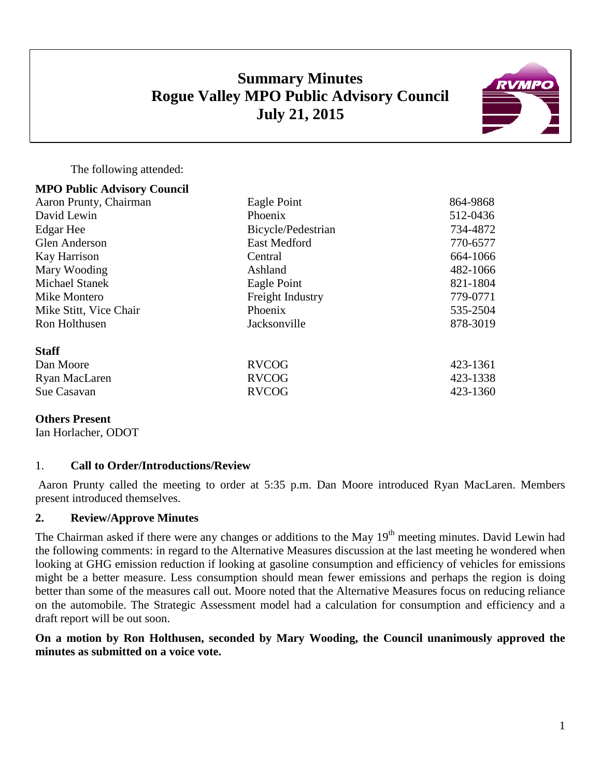# **Summary Minutes Rogue Valley MPO Public Advisory Council July 21, 2015**



The following attended:

| <b>MPO Public Advisory Council</b> |                     |          |
|------------------------------------|---------------------|----------|
| Aaron Prunty, Chairman             | Eagle Point         | 864-9868 |
| David Lewin                        | Phoenix             | 512-0436 |
| Edgar Hee                          | Bicycle/Pedestrian  | 734-4872 |
| <b>Glen Anderson</b>               | <b>East Medford</b> | 770-6577 |
| Kay Harrison                       | Central             | 664-1066 |
| Mary Wooding                       | Ashland             | 482-1066 |
| <b>Michael Stanek</b>              | Eagle Point         | 821-1804 |
| Mike Montero                       | Freight Industry    | 779-0771 |
| Mike Stitt, Vice Chair             | Phoenix             | 535-2504 |
| Ron Holthusen                      | Jacksonville        | 878-3019 |
| <b>Staff</b>                       |                     |          |
| Dan Moore                          | <b>RVCOG</b>        | 423-1361 |
| Ryan MacLaren                      | <b>RVCOG</b>        | 423-1338 |
| Sue Casavan                        | <b>RVCOG</b>        | 423-1360 |
|                                    |                     |          |

## **Others Present**

Ian Horlacher, ODOT

## 1. **Call to Order/Introductions/Review**

Aaron Prunty called the meeting to order at 5:35 p.m. Dan Moore introduced Ryan MacLaren. Members present introduced themselves.

## **2. Review/Approve Minutes**

The Chairman asked if there were any changes or additions to the May 19<sup>th</sup> meeting minutes. David Lewin had the following comments: in regard to the Alternative Measures discussion at the last meeting he wondered when looking at GHG emission reduction if looking at gasoline consumption and efficiency of vehicles for emissions might be a better measure. Less consumption should mean fewer emissions and perhaps the region is doing better than some of the measures call out. Moore noted that the Alternative Measures focus on reducing reliance on the automobile. The Strategic Assessment model had a calculation for consumption and efficiency and a draft report will be out soon.

## **On a motion by Ron Holthusen, seconded by Mary Wooding, the Council unanimously approved the minutes as submitted on a voice vote.**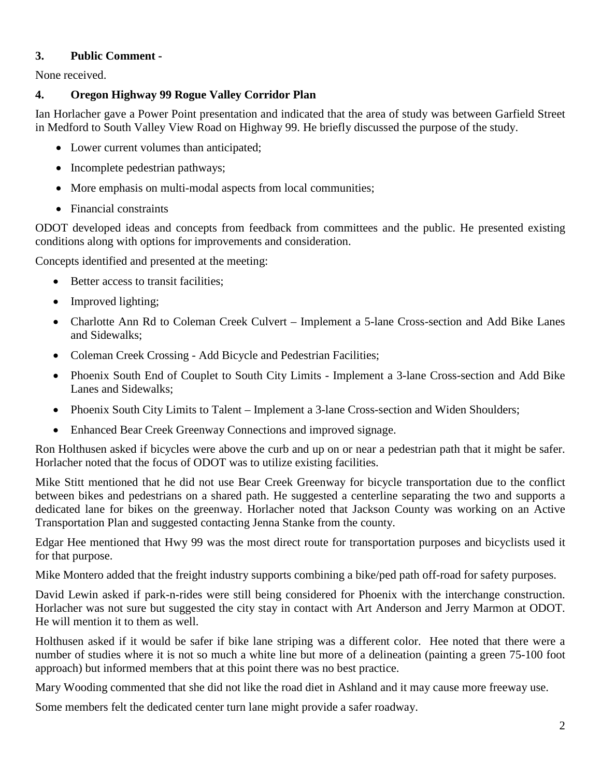## **3. Public Comment -**

None received.

## **4. Oregon Highway 99 Rogue Valley Corridor Plan**

Ian Horlacher gave a Power Point presentation and indicated that the area of study was between Garfield Street in Medford to South Valley View Road on Highway 99. He briefly discussed the purpose of the study.

- Lower current volumes than anticipated;
- Incomplete pedestrian pathways;
- More emphasis on multi-modal aspects from local communities;
- Financial constraints

ODOT developed ideas and concepts from feedback from committees and the public. He presented existing conditions along with options for improvements and consideration.

Concepts identified and presented at the meeting:

- Better access to transit facilities;
- Improved lighting;
- Charlotte Ann Rd to Coleman Creek Culvert Implement a 5-lane Cross-section and Add Bike Lanes and Sidewalks;
- Coleman Creek Crossing Add Bicycle and Pedestrian Facilities;
- Phoenix South End of Couplet to South City Limits Implement a 3-lane Cross-section and Add Bike Lanes and Sidewalks;
- Phoenix South City Limits to Talent Implement a 3-lane Cross-section and Widen Shoulders;
- Enhanced Bear Creek Greenway Connections and improved signage.

Ron Holthusen asked if bicycles were above the curb and up on or near a pedestrian path that it might be safer. Horlacher noted that the focus of ODOT was to utilize existing facilities.

Mike Stitt mentioned that he did not use Bear Creek Greenway for bicycle transportation due to the conflict between bikes and pedestrians on a shared path. He suggested a centerline separating the two and supports a dedicated lane for bikes on the greenway. Horlacher noted that Jackson County was working on an Active Transportation Plan and suggested contacting Jenna Stanke from the county.

Edgar Hee mentioned that Hwy 99 was the most direct route for transportation purposes and bicyclists used it for that purpose.

Mike Montero added that the freight industry supports combining a bike/ped path off-road for safety purposes.

David Lewin asked if park-n-rides were still being considered for Phoenix with the interchange construction. Horlacher was not sure but suggested the city stay in contact with Art Anderson and Jerry Marmon at ODOT. He will mention it to them as well.

Holthusen asked if it would be safer if bike lane striping was a different color. Hee noted that there were a number of studies where it is not so much a white line but more of a delineation (painting a green 75-100 foot approach) but informed members that at this point there was no best practice.

Mary Wooding commented that she did not like the road diet in Ashland and it may cause more freeway use.

Some members felt the dedicated center turn lane might provide a safer roadway.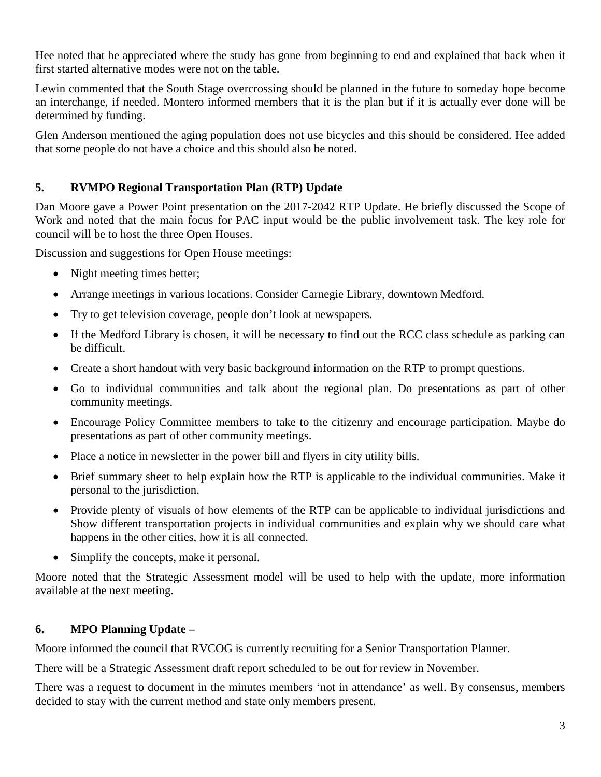Hee noted that he appreciated where the study has gone from beginning to end and explained that back when it first started alternative modes were not on the table.

Lewin commented that the South Stage overcrossing should be planned in the future to someday hope become an interchange, if needed. Montero informed members that it is the plan but if it is actually ever done will be determined by funding.

Glen Anderson mentioned the aging population does not use bicycles and this should be considered. Hee added that some people do not have a choice and this should also be noted.

## **5. RVMPO Regional Transportation Plan (RTP) Update**

Dan Moore gave a Power Point presentation on the 2017-2042 RTP Update. He briefly discussed the Scope of Work and noted that the main focus for PAC input would be the public involvement task. The key role for council will be to host the three Open Houses.

Discussion and suggestions for Open House meetings:

- Night meeting times better;
- Arrange meetings in various locations. Consider Carnegie Library, downtown Medford.
- Try to get television coverage, people don't look at newspapers.
- If the Medford Library is chosen, it will be necessary to find out the RCC class schedule as parking can be difficult.
- Create a short handout with very basic background information on the RTP to prompt questions.
- Go to individual communities and talk about the regional plan. Do presentations as part of other community meetings.
- Encourage Policy Committee members to take to the citizenry and encourage participation. Maybe do presentations as part of other community meetings.
- Place a notice in newsletter in the power bill and flyers in city utility bills.
- Brief summary sheet to help explain how the RTP is applicable to the individual communities. Make it personal to the jurisdiction.
- Provide plenty of visuals of how elements of the RTP can be applicable to individual jurisdictions and Show different transportation projects in individual communities and explain why we should care what happens in the other cities, how it is all connected.
- Simplify the concepts, make it personal.

Moore noted that the Strategic Assessment model will be used to help with the update, more information available at the next meeting.

## **6. MPO Planning Update –**

Moore informed the council that RVCOG is currently recruiting for a Senior Transportation Planner.

There will be a Strategic Assessment draft report scheduled to be out for review in November.

There was a request to document in the minutes members 'not in attendance' as well. By consensus, members decided to stay with the current method and state only members present.